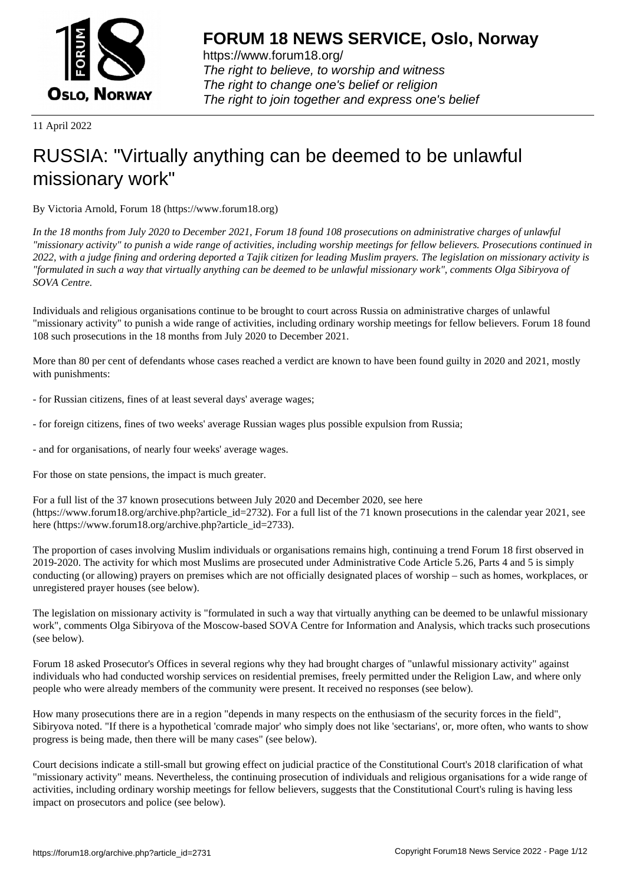

https://www.forum18.org/ The right to believe, to worship and witness The right to change one's belief or religion [The right to join together a](https://www.forum18.org/)nd express one's belief

11 April 2022

## [RUSSIA: "Virtua](https://www.forum18.org)lly anything can be deemed to be unlawful missionary work"

By Victoria Arnold, Forum 18 (https://www.forum18.org)

*In the 18 months from July 2020 to December 2021, Forum 18 found 108 prosecutions on administrative charges of unlawful "missionary activity" to punish a wide range of activities, including worship meetings for fellow believers. Prosecutions continued in 2022, with a judge fining and ordering deported a Tajik citizen for leading Muslim prayers. The legislation on missionary activity is "formulated in such a way that virtually anything can be deemed to be unlawful missionary work", comments Olga Sibiryova of SOVA Centre.*

Individuals and religious organisations continue to be brought to court across Russia on administrative charges of unlawful "missionary activity" to punish a wide range of activities, including ordinary worship meetings for fellow believers. Forum 18 found 108 such prosecutions in the 18 months from July 2020 to December 2021.

More than 80 per cent of defendants whose cases reached a verdict are known to have been found guilty in 2020 and 2021, mostly with punishments:

- for Russian citizens, fines of at least several days' average wages;
- for foreign citizens, fines of two weeks' average Russian wages plus possible expulsion from Russia;
- and for organisations, of nearly four weeks' average wages.

For those on state pensions, the impact is much greater.

For a full list of the 37 known prosecutions between July 2020 and December 2020, see here (https://www.forum18.org/archive.php?article\_id=2732). For a full list of the 71 known prosecutions in the calendar year 2021, see here (https://www.forum18.org/archive.php?article\_id=2733).

The proportion of cases involving Muslim individuals or organisations remains high, continuing a trend Forum 18 first observed in 2019-2020. The activity for which most Muslims are prosecuted under Administrative Code Article 5.26, Parts 4 and 5 is simply conducting (or allowing) prayers on premises which are not officially designated places of worship – such as homes, workplaces, or unregistered prayer houses (see below).

The legislation on missionary activity is "formulated in such a way that virtually anything can be deemed to be unlawful missionary work", comments Olga Sibiryova of the Moscow-based SOVA Centre for Information and Analysis, which tracks such prosecutions (see below).

Forum 18 asked Prosecutor's Offices in several regions why they had brought charges of "unlawful missionary activity" against individuals who had conducted worship services on residential premises, freely permitted under the Religion Law, and where only people who were already members of the community were present. It received no responses (see below).

How many prosecutions there are in a region "depends in many respects on the enthusiasm of the security forces in the field", Sibiryova noted. "If there is a hypothetical 'comrade major' who simply does not like 'sectarians', or, more often, who wants to show progress is being made, then there will be many cases" (see below).

Court decisions indicate a still-small but growing effect on judicial practice of the Constitutional Court's 2018 clarification of what "missionary activity" means. Nevertheless, the continuing prosecution of individuals and religious organisations for a wide range of activities, including ordinary worship meetings for fellow believers, suggests that the Constitutional Court's ruling is having less impact on prosecutors and police (see below).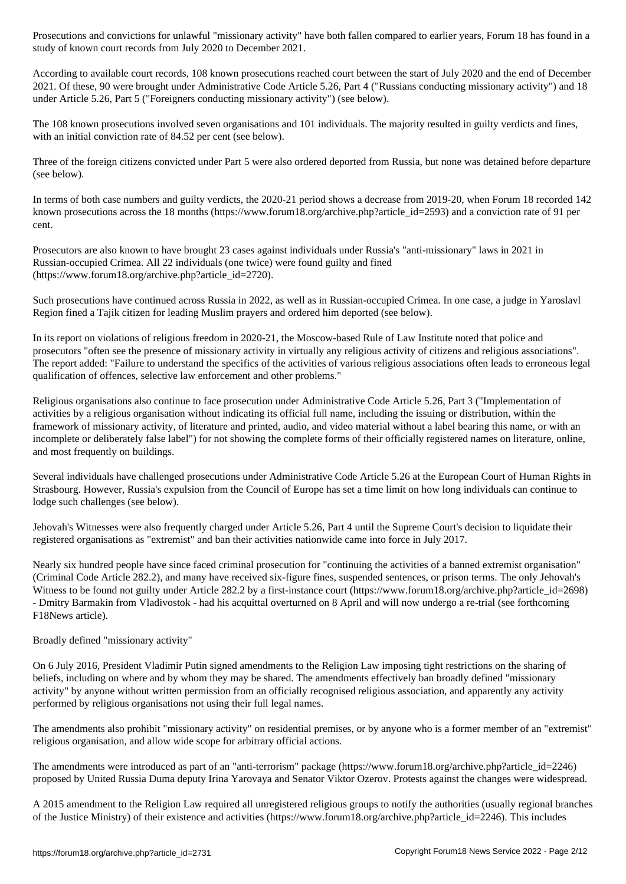According to available court records, 108 known prosecutions reached court between the start of July 2020 and the end of December 2021. Of these, 90 were brought under Administrative Code Article 5.26, Part 4 ("Russians conducting missionary activity") and 18 under Article 5.26, Part 5 ("Foreigners conducting missionary activity") (see below).

study of known court records from July 2020 to December 2021.

The 108 known prosecutions involved seven organisations and 101 individuals. The majority resulted in guilty verdicts and fines, with an initial conviction rate of 84.52 per cent (see below).

Three of the foreign citizens convicted under Part 5 were also ordered deported from Russia, but none was detained before departure (see below).

In terms of both case numbers and guilty verdicts, the 2020-21 period shows a decrease from 2019-20, when Forum 18 recorded 142 known prosecutions across the 18 months (https://www.forum18.org/archive.php?article\_id=2593) and a conviction rate of 91 per cent.

Prosecutors are also known to have brought 23 cases against individuals under Russia's "anti-missionary" laws in 2021 in Russian-occupied Crimea. All 22 individuals (one twice) were found guilty and fined (https://www.forum18.org/archive.php?article\_id=2720).

Such prosecutions have continued across Russia in 2022, as well as in Russian-occupied Crimea. In one case, a judge in Yaroslavl Region fined a Tajik citizen for leading Muslim prayers and ordered him deported (see below).

In its report on violations of religious freedom in 2020-21, the Moscow-based Rule of Law Institute noted that police and prosecutors "often see the presence of missionary activity in virtually any religious activity of citizens and religious associations". The report added: "Failure to understand the specifics of the activities of various religious associations often leads to erroneous legal qualification of offences, selective law enforcement and other problems."

Religious organisations also continue to face prosecution under Administrative Code Article 5.26, Part 3 ("Implementation of activities by a religious organisation without indicating its official full name, including the issuing or distribution, within the framework of missionary activity, of literature and printed, audio, and video material without a label bearing this name, or with an incomplete or deliberately false label") for not showing the complete forms of their officially registered names on literature, online, and most frequently on buildings.

Several individuals have challenged prosecutions under Administrative Code Article 5.26 at the European Court of Human Rights in Strasbourg. However, Russia's expulsion from the Council of Europe has set a time limit on how long individuals can continue to lodge such challenges (see below).

Jehovah's Witnesses were also frequently charged under Article 5.26, Part 4 until the Supreme Court's decision to liquidate their registered organisations as "extremist" and ban their activities nationwide came into force in July 2017.

Nearly six hundred people have since faced criminal prosecution for "continuing the activities of a banned extremist organisation" (Criminal Code Article 282.2), and many have received six-figure fines, suspended sentences, or prison terms. The only Jehovah's Witness to be found not guilty under Article 282.2 by a first-instance court (https://www.forum18.org/archive.php?article\_id=2698) - Dmitry Barmakin from Vladivostok - had his acquittal overturned on 8 April and will now undergo a re-trial (see forthcoming F18News article).

## Broadly defined "missionary activity"

On 6 July 2016, President Vladimir Putin signed amendments to the Religion Law imposing tight restrictions on the sharing of beliefs, including on where and by whom they may be shared. The amendments effectively ban broadly defined "missionary activity" by anyone without written permission from an officially recognised religious association, and apparently any activity performed by religious organisations not using their full legal names.

The amendments also prohibit "missionary activity" on residential premises, or by anyone who is a former member of an "extremist" religious organisation, and allow wide scope for arbitrary official actions.

The amendments were introduced as part of an "anti-terrorism" package (https://www.forum18.org/archive.php?article\_id=2246) proposed by United Russia Duma deputy Irina Yarovaya and Senator Viktor Ozerov. Protests against the changes were widespread.

A 2015 amendment to the Religion Law required all unregistered religious groups to notify the authorities (usually regional branches of the Justice Ministry) of their existence and activities (https://www.forum18.org/archive.php?article\_id=2246). This includes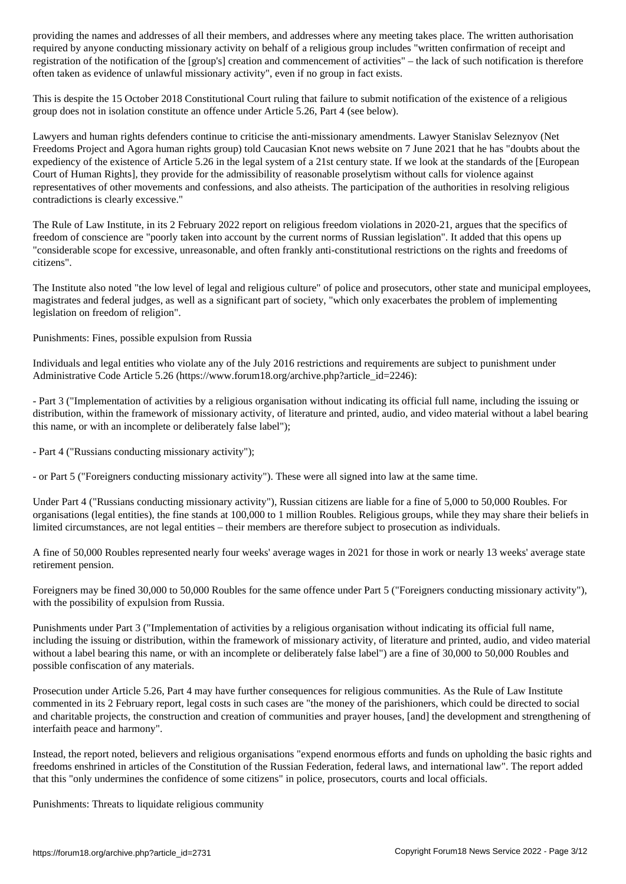required by anyone conducting missionary activity on behalf of a religious group includes "written confirmation of receipt and registration of the notification of the [group's] creation and commencement of activities" – the lack of such notification is therefore often taken as evidence of unlawful missionary activity", even if no group in fact exists.

This is despite the 15 October 2018 Constitutional Court ruling that failure to submit notification of the existence of a religious group does not in isolation constitute an offence under Article 5.26, Part 4 (see below).

Lawyers and human rights defenders continue to criticise the anti-missionary amendments. Lawyer Stanislav Seleznyov (Net Freedoms Project and Agora human rights group) told Caucasian Knot news website on 7 June 2021 that he has "doubts about the expediency of the existence of Article 5.26 in the legal system of a 21st century state. If we look at the standards of the [European Court of Human Rights], they provide for the admissibility of reasonable proselytism without calls for violence against representatives of other movements and confessions, and also atheists. The participation of the authorities in resolving religious contradictions is clearly excessive."

The Rule of Law Institute, in its 2 February 2022 report on religious freedom violations in 2020-21, argues that the specifics of freedom of conscience are "poorly taken into account by the current norms of Russian legislation". It added that this opens up "considerable scope for excessive, unreasonable, and often frankly anti-constitutional restrictions on the rights and freedoms of citizens".

The Institute also noted "the low level of legal and religious culture" of police and prosecutors, other state and municipal employees, magistrates and federal judges, as well as a significant part of society, "which only exacerbates the problem of implementing legislation on freedom of religion".

Punishments: Fines, possible expulsion from Russia

Individuals and legal entities who violate any of the July 2016 restrictions and requirements are subject to punishment under Administrative Code Article 5.26 (https://www.forum18.org/archive.php?article\_id=2246):

- Part 3 ("Implementation of activities by a religious organisation without indicating its official full name, including the issuing or distribution, within the framework of missionary activity, of literature and printed, audio, and video material without a label bearing this name, or with an incomplete or deliberately false label");

- Part 4 ("Russians conducting missionary activity");

- or Part 5 ("Foreigners conducting missionary activity"). These were all signed into law at the same time.

Under Part 4 ("Russians conducting missionary activity"), Russian citizens are liable for a fine of 5,000 to 50,000 Roubles. For organisations (legal entities), the fine stands at 100,000 to 1 million Roubles. Religious groups, while they may share their beliefs in limited circumstances, are not legal entities – their members are therefore subject to prosecution as individuals.

A fine of 50,000 Roubles represented nearly four weeks' average wages in 2021 for those in work or nearly 13 weeks' average state retirement pension.

Foreigners may be fined 30,000 to 50,000 Roubles for the same offence under Part 5 ("Foreigners conducting missionary activity"), with the possibility of expulsion from Russia.

Punishments under Part 3 ("Implementation of activities by a religious organisation without indicating its official full name, including the issuing or distribution, within the framework of missionary activity, of literature and printed, audio, and video material without a label bearing this name, or with an incomplete or deliberately false label") are a fine of 30,000 to 50,000 Roubles and possible confiscation of any materials.

Prosecution under Article 5.26, Part 4 may have further consequences for religious communities. As the Rule of Law Institute commented in its 2 February report, legal costs in such cases are "the money of the parishioners, which could be directed to social and charitable projects, the construction and creation of communities and prayer houses, [and] the development and strengthening of interfaith peace and harmony".

Instead, the report noted, believers and religious organisations "expend enormous efforts and funds on upholding the basic rights and freedoms enshrined in articles of the Constitution of the Russian Federation, federal laws, and international law". The report added that this "only undermines the confidence of some citizens" in police, prosecutors, courts and local officials.

Punishments: Threats to liquidate religious community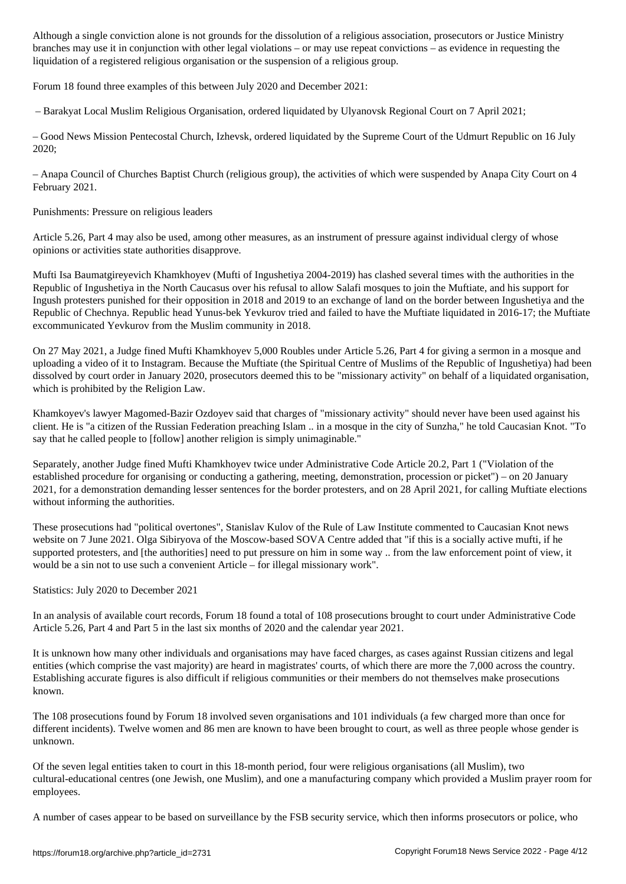branches may use it in conjunction with other legal violations – or may use repeat convictions – as evidence in requesting the liquidation of a registered religious organisation or the suspension of a religious group.

Forum 18 found three examples of this between July 2020 and December 2021:

– Barakyat Local Muslim Religious Organisation, ordered liquidated by Ulyanovsk Regional Court on 7 April 2021;

– Good News Mission Pentecostal Church, Izhevsk, ordered liquidated by the Supreme Court of the Udmurt Republic on 16 July 2020;

– Anapa Council of Churches Baptist Church (religious group), the activities of which were suspended by Anapa City Court on 4 February 2021.

Punishments: Pressure on religious leaders

Article 5.26, Part 4 may also be used, among other measures, as an instrument of pressure against individual clergy of whose opinions or activities state authorities disapprove.

Mufti Isa Baumatgireyevich Khamkhoyev (Mufti of Ingushetiya 2004-2019) has clashed several times with the authorities in the Republic of Ingushetiya in the North Caucasus over his refusal to allow Salafi mosques to join the Muftiate, and his support for Ingush protesters punished for their opposition in 2018 and 2019 to an exchange of land on the border between Ingushetiya and the Republic of Chechnya. Republic head Yunus-bek Yevkurov tried and failed to have the Muftiate liquidated in 2016-17; the Muftiate excommunicated Yevkurov from the Muslim community in 2018.

On 27 May 2021, a Judge fined Mufti Khamkhoyev 5,000 Roubles under Article 5.26, Part 4 for giving a sermon in a mosque and uploading a video of it to Instagram. Because the Muftiate (the Spiritual Centre of Muslims of the Republic of Ingushetiya) had been dissolved by court order in January 2020, prosecutors deemed this to be "missionary activity" on behalf of a liquidated organisation, which is prohibited by the Religion Law.

Khamkoyev's lawyer Magomed-Bazir Ozdoyev said that charges of "missionary activity" should never have been used against his client. He is "a citizen of the Russian Federation preaching Islam .. in a mosque in the city of Sunzha," he told Caucasian Knot. "To say that he called people to [follow] another religion is simply unimaginable."

Separately, another Judge fined Mufti Khamkhoyev twice under Administrative Code Article 20.2, Part 1 ("Violation of the established procedure for organising or conducting a gathering, meeting, demonstration, procession or picket") – on 20 January 2021, for a demonstration demanding lesser sentences for the border protesters, and on 28 April 2021, for calling Muftiate elections without informing the authorities.

These prosecutions had "political overtones", Stanislav Kulov of the Rule of Law Institute commented to Caucasian Knot news website on 7 June 2021. Olga Sibiryova of the Moscow-based SOVA Centre added that "if this is a socially active mufti, if he supported protesters, and [the authorities] need to put pressure on him in some way .. from the law enforcement point of view, it would be a sin not to use such a convenient Article – for illegal missionary work".

Statistics: July 2020 to December 2021

In an analysis of available court records, Forum 18 found a total of 108 prosecutions brought to court under Administrative Code Article 5.26, Part 4 and Part 5 in the last six months of 2020 and the calendar year 2021.

It is unknown how many other individuals and organisations may have faced charges, as cases against Russian citizens and legal entities (which comprise the vast majority) are heard in magistrates' courts, of which there are more the 7,000 across the country. Establishing accurate figures is also difficult if religious communities or their members do not themselves make prosecutions known.

The 108 prosecutions found by Forum 18 involved seven organisations and 101 individuals (a few charged more than once for different incidents). Twelve women and 86 men are known to have been brought to court, as well as three people whose gender is unknown.

Of the seven legal entities taken to court in this 18-month period, four were religious organisations (all Muslim), two cultural-educational centres (one Jewish, one Muslim), and one a manufacturing company which provided a Muslim prayer room for employees.

A number of cases appear to be based on surveillance by the FSB security service, which then informs prosecutors or police, who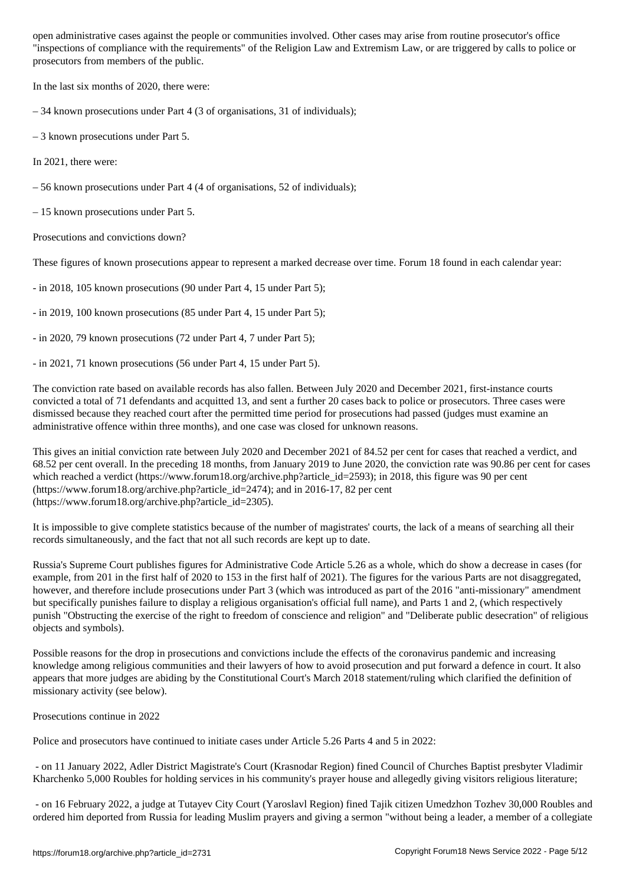"inspections of compliance with the requirements" of the Religion Law and Extremism Law, or are triggered by calls to police or prosecutors from members of the public.

In the last six months of 2020, there were:

– 34 known prosecutions under Part 4 (3 of organisations, 31 of individuals);

– 3 known prosecutions under Part 5.

In 2021, there were:

– 56 known prosecutions under Part 4 (4 of organisations, 52 of individuals);

– 15 known prosecutions under Part 5.

Prosecutions and convictions down?

These figures of known prosecutions appear to represent a marked decrease over time. Forum 18 found in each calendar year:

- in 2018, 105 known prosecutions (90 under Part 4, 15 under Part 5);

- in 2019, 100 known prosecutions (85 under Part 4, 15 under Part 5);

- in 2020, 79 known prosecutions (72 under Part 4, 7 under Part 5);

- in 2021, 71 known prosecutions (56 under Part 4, 15 under Part 5).

The conviction rate based on available records has also fallen. Between July 2020 and December 2021, first-instance courts convicted a total of 71 defendants and acquitted 13, and sent a further 20 cases back to police or prosecutors. Three cases were dismissed because they reached court after the permitted time period for prosecutions had passed (judges must examine an administrative offence within three months), and one case was closed for unknown reasons.

This gives an initial conviction rate between July 2020 and December 2021 of 84.52 per cent for cases that reached a verdict, and 68.52 per cent overall. In the preceding 18 months, from January 2019 to June 2020, the conviction rate was 90.86 per cent for cases which reached a verdict (https://www.forum18.org/archive.php?article\_id=2593); in 2018, this figure was 90 per cent (https://www.forum18.org/archive.php?article\_id=2474); and in 2016-17, 82 per cent (https://www.forum18.org/archive.php?article\_id=2305).

It is impossible to give complete statistics because of the number of magistrates' courts, the lack of a means of searching all their records simultaneously, and the fact that not all such records are kept up to date.

Russia's Supreme Court publishes figures for Administrative Code Article 5.26 as a whole, which do show a decrease in cases (for example, from 201 in the first half of 2020 to 153 in the first half of 2021). The figures for the various Parts are not disaggregated, however, and therefore include prosecutions under Part 3 (which was introduced as part of the 2016 "anti-missionary" amendment but specifically punishes failure to display a religious organisation's official full name), and Parts 1 and 2, (which respectively punish "Obstructing the exercise of the right to freedom of conscience and religion" and "Deliberate public desecration" of religious objects and symbols).

Possible reasons for the drop in prosecutions and convictions include the effects of the coronavirus pandemic and increasing knowledge among religious communities and their lawyers of how to avoid prosecution and put forward a defence in court. It also appears that more judges are abiding by the Constitutional Court's March 2018 statement/ruling which clarified the definition of missionary activity (see below).

Prosecutions continue in 2022

Police and prosecutors have continued to initiate cases under Article 5.26 Parts 4 and 5 in 2022:

 - on 11 January 2022, Adler District Magistrate's Court (Krasnodar Region) fined Council of Churches Baptist presbyter Vladimir Kharchenko 5,000 Roubles for holding services in his community's prayer house and allegedly giving visitors religious literature;

 - on 16 February 2022, a judge at Tutayev City Court (Yaroslavl Region) fined Tajik citizen Umedzhon Tozhev 30,000 Roubles and ordered him deported from Russia for leading Muslim prayers and giving a sermon "without being a leader, a member of a collegiate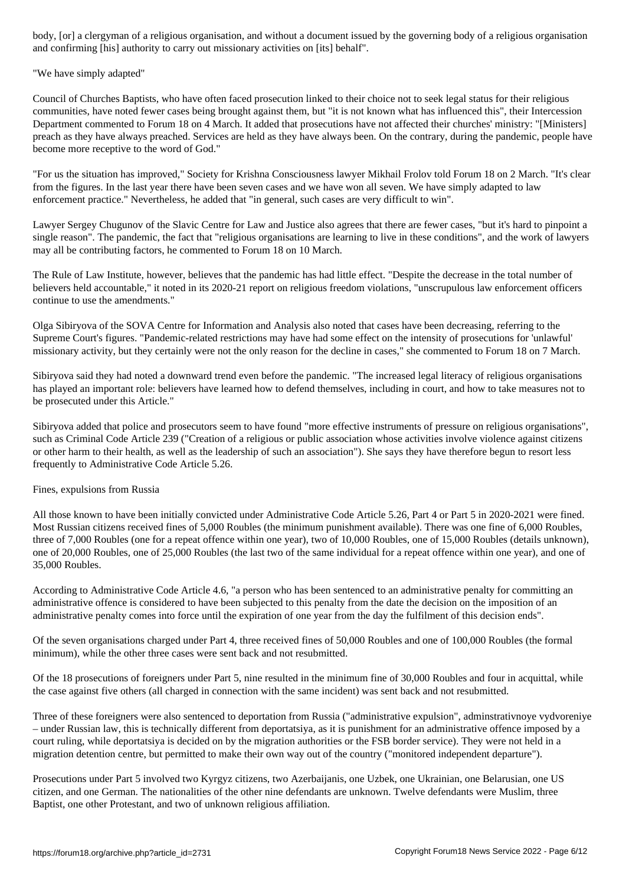and confirming [his] authority to carry out missionary activities on [its] behalf".

"We have simply adapted"

Council of Churches Baptists, who have often faced prosecution linked to their choice not to seek legal status for their religious communities, have noted fewer cases being brought against them, but "it is not known what has influenced this", their Intercession Department commented to Forum 18 on 4 March. It added that prosecutions have not affected their churches' ministry: "[Ministers] preach as they have always preached. Services are held as they have always been. On the contrary, during the pandemic, people have become more receptive to the word of God."

"For us the situation has improved," Society for Krishna Consciousness lawyer Mikhail Frolov told Forum 18 on 2 March. "It's clear from the figures. In the last year there have been seven cases and we have won all seven. We have simply adapted to law enforcement practice." Nevertheless, he added that "in general, such cases are very difficult to win".

Lawyer Sergey Chugunov of the Slavic Centre for Law and Justice also agrees that there are fewer cases, "but it's hard to pinpoint a single reason". The pandemic, the fact that "religious organisations are learning to live in these conditions", and the work of lawyers may all be contributing factors, he commented to Forum 18 on 10 March.

The Rule of Law Institute, however, believes that the pandemic has had little effect. "Despite the decrease in the total number of believers held accountable," it noted in its 2020-21 report on religious freedom violations, "unscrupulous law enforcement officers continue to use the amendments."

Olga Sibiryova of the SOVA Centre for Information and Analysis also noted that cases have been decreasing, referring to the Supreme Court's figures. "Pandemic-related restrictions may have had some effect on the intensity of prosecutions for 'unlawful' missionary activity, but they certainly were not the only reason for the decline in cases," she commented to Forum 18 on 7 March.

Sibiryova said they had noted a downward trend even before the pandemic. "The increased legal literacy of religious organisations has played an important role: believers have learned how to defend themselves, including in court, and how to take measures not to be prosecuted under this Article."

Sibiryova added that police and prosecutors seem to have found "more effective instruments of pressure on religious organisations", such as Criminal Code Article 239 ("Creation of a religious or public association whose activities involve violence against citizens or other harm to their health, as well as the leadership of such an association"). She says they have therefore begun to resort less frequently to Administrative Code Article 5.26.

Fines, expulsions from Russia

All those known to have been initially convicted under Administrative Code Article 5.26, Part 4 or Part 5 in 2020-2021 were fined. Most Russian citizens received fines of 5,000 Roubles (the minimum punishment available). There was one fine of 6,000 Roubles, three of 7,000 Roubles (one for a repeat offence within one year), two of 10,000 Roubles, one of 15,000 Roubles (details unknown), one of 20,000 Roubles, one of 25,000 Roubles (the last two of the same individual for a repeat offence within one year), and one of 35,000 Roubles.

According to Administrative Code Article 4.6, "a person who has been sentenced to an administrative penalty for committing an administrative offence is considered to have been subjected to this penalty from the date the decision on the imposition of an administrative penalty comes into force until the expiration of one year from the day the fulfilment of this decision ends".

Of the seven organisations charged under Part 4, three received fines of 50,000 Roubles and one of 100,000 Roubles (the formal minimum), while the other three cases were sent back and not resubmitted.

Of the 18 prosecutions of foreigners under Part 5, nine resulted in the minimum fine of 30,000 Roubles and four in acquittal, while the case against five others (all charged in connection with the same incident) was sent back and not resubmitted.

Three of these foreigners were also sentenced to deportation from Russia ("administrative expulsion", adminstrativnoye vydvoreniye – under Russian law, this is technically different from deportatsiya, as it is punishment for an administrative offence imposed by a court ruling, while deportatsiya is decided on by the migration authorities or the FSB border service). They were not held in a migration detention centre, but permitted to make their own way out of the country ("monitored independent departure").

Prosecutions under Part 5 involved two Kyrgyz citizens, two Azerbaijanis, one Uzbek, one Ukrainian, one Belarusian, one US citizen, and one German. The nationalities of the other nine defendants are unknown. Twelve defendants were Muslim, three Baptist, one other Protestant, and two of unknown religious affiliation.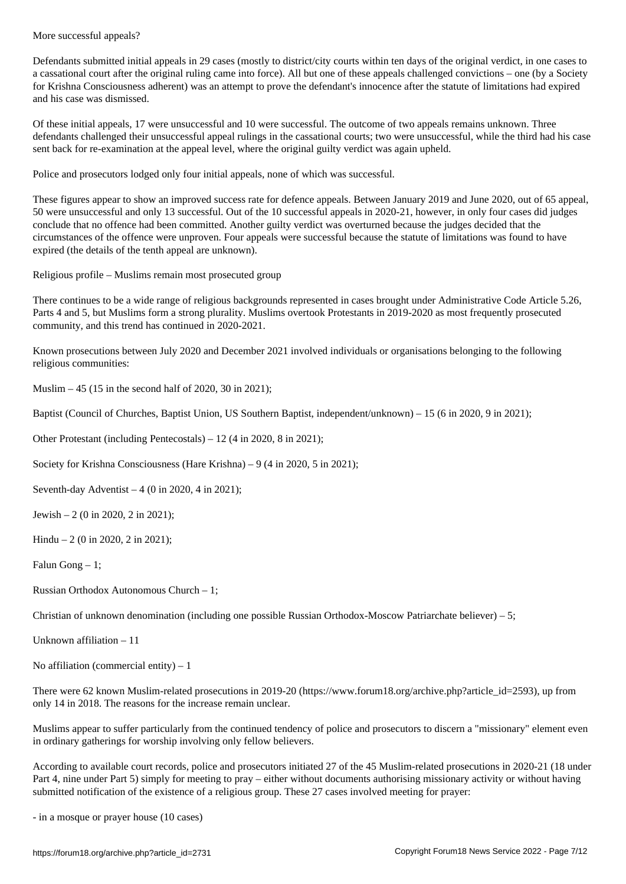Defendants submitted initial appeals in 29 cases (mostly to district/city courts within ten days of the original verdict, in one cases to a cassational court after the original ruling came into force). All but one of these appeals challenged convictions – one (by a Society for Krishna Consciousness adherent) was an attempt to prove the defendant's innocence after the statute of limitations had expired and his case was dismissed.

Of these initial appeals, 17 were unsuccessful and 10 were successful. The outcome of two appeals remains unknown. Three defendants challenged their unsuccessful appeal rulings in the cassational courts; two were unsuccessful, while the third had his case sent back for re-examination at the appeal level, where the original guilty verdict was again upheld.

Police and prosecutors lodged only four initial appeals, none of which was successful.

These figures appear to show an improved success rate for defence appeals. Between January 2019 and June 2020, out of 65 appeal, 50 were unsuccessful and only 13 successful. Out of the 10 successful appeals in 2020-21, however, in only four cases did judges conclude that no offence had been committed. Another guilty verdict was overturned because the judges decided that the circumstances of the offence were unproven. Four appeals were successful because the statute of limitations was found to have expired (the details of the tenth appeal are unknown).

Religious profile – Muslims remain most prosecuted group

There continues to be a wide range of religious backgrounds represented in cases brought under Administrative Code Article 5.26, Parts 4 and 5, but Muslims form a strong plurality. Muslims overtook Protestants in 2019-2020 as most frequently prosecuted community, and this trend has continued in 2020-2021.

Known prosecutions between July 2020 and December 2021 involved individuals or organisations belonging to the following religious communities:

Muslim – 45 (15 in the second half of 2020, 30 in 2021);

Baptist (Council of Churches, Baptist Union, US Southern Baptist, independent/unknown) – 15 (6 in 2020, 9 in 2021);

Other Protestant (including Pentecostals) – 12 (4 in 2020, 8 in 2021);

Society for Krishna Consciousness (Hare Krishna) – 9 (4 in 2020, 5 in 2021);

Seventh-day Adventist – 4 (0 in 2020, 4 in 2021);

Jewish – 2 (0 in 2020, 2 in 2021);

Hindu – 2 (0 in 2020, 2 in 2021);

Falun Gong  $-1$ ;

Russian Orthodox Autonomous Church – 1;

Christian of unknown denomination (including one possible Russian Orthodox-Moscow Patriarchate believer) – 5;

Unknown affiliation – 11

No affiliation (commercial entity)  $-1$ 

There were 62 known Muslim-related prosecutions in 2019-20 (https://www.forum18.org/archive.php?article\_id=2593), up from only 14 in 2018. The reasons for the increase remain unclear.

Muslims appear to suffer particularly from the continued tendency of police and prosecutors to discern a "missionary" element even in ordinary gatherings for worship involving only fellow believers.

According to available court records, police and prosecutors initiated 27 of the 45 Muslim-related prosecutions in 2020-21 (18 under Part 4, nine under Part 5) simply for meeting to pray – either without documents authorising missionary activity or without having submitted notification of the existence of a religious group. These 27 cases involved meeting for prayer:

- in a mosque or prayer house (10 cases)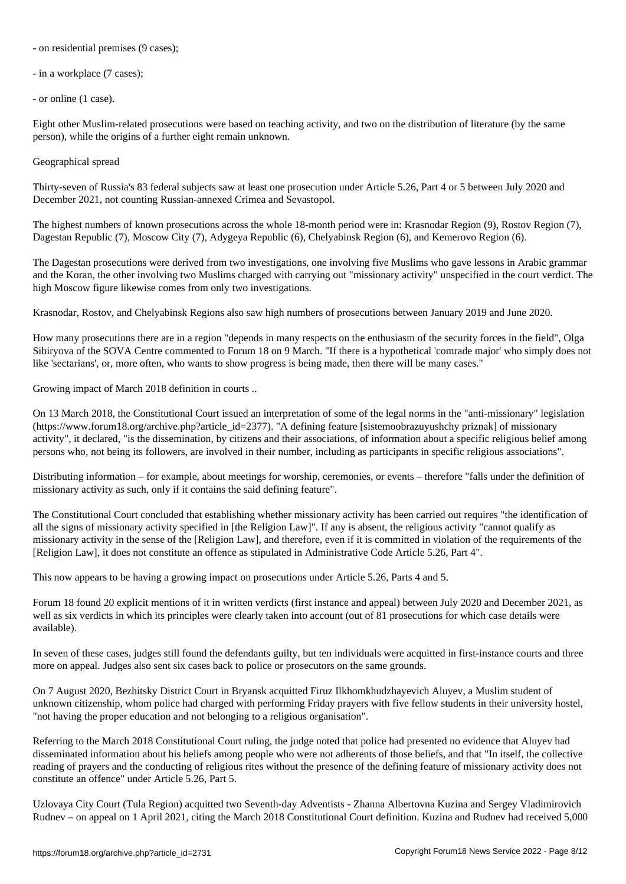- on  $\mathbf{I}$  because (9 cases); (9 cases); (9 cases); (9 cases); (9 cases); (9 cases); (9 cases); (9 cases); (9 cases); (9 cases); (9 cases); (9 cases); (9 cases); (9 cases); (9 cases); (9 cases); (9 cases); (9 cases); (

- in a workplace (7 cases);

- or online (1 case).

Eight other Muslim-related prosecutions were based on teaching activity, and two on the distribution of literature (by the same person), while the origins of a further eight remain unknown.

Geographical spread

Thirty-seven of Russia's 83 federal subjects saw at least one prosecution under Article 5.26, Part 4 or 5 between July 2020 and December 2021, not counting Russian-annexed Crimea and Sevastopol.

The highest numbers of known prosecutions across the whole 18-month period were in: Krasnodar Region (9), Rostov Region (7), Dagestan Republic (7), Moscow City (7), Adygeya Republic (6), Chelyabinsk Region (6), and Kemerovo Region (6).

The Dagestan prosecutions were derived from two investigations, one involving five Muslims who gave lessons in Arabic grammar and the Koran, the other involving two Muslims charged with carrying out "missionary activity" unspecified in the court verdict. The high Moscow figure likewise comes from only two investigations.

Krasnodar, Rostov, and Chelyabinsk Regions also saw high numbers of prosecutions between January 2019 and June 2020.

How many prosecutions there are in a region "depends in many respects on the enthusiasm of the security forces in the field", Olga Sibiryova of the SOVA Centre commented to Forum 18 on 9 March. "If there is a hypothetical 'comrade major' who simply does not like 'sectarians', or, more often, who wants to show progress is being made, then there will be many cases."

Growing impact of March 2018 definition in courts ..

On 13 March 2018, the Constitutional Court issued an interpretation of some of the legal norms in the "anti-missionary" legislation (https://www.forum18.org/archive.php?article\_id=2377). "A defining feature [sistemoobrazuyushchy priznak] of missionary activity", it declared, "is the dissemination, by citizens and their associations, of information about a specific religious belief among persons who, not being its followers, are involved in their number, including as participants in specific religious associations".

Distributing information – for example, about meetings for worship, ceremonies, or events – therefore "falls under the definition of missionary activity as such, only if it contains the said defining feature".

The Constitutional Court concluded that establishing whether missionary activity has been carried out requires "the identification of all the signs of missionary activity specified in [the Religion Law]". If any is absent, the religious activity "cannot qualify as missionary activity in the sense of the [Religion Law], and therefore, even if it is committed in violation of the requirements of the [Religion Law], it does not constitute an offence as stipulated in Administrative Code Article 5.26, Part 4".

This now appears to be having a growing impact on prosecutions under Article 5.26, Parts 4 and 5.

Forum 18 found 20 explicit mentions of it in written verdicts (first instance and appeal) between July 2020 and December 2021, as well as six verdicts in which its principles were clearly taken into account (out of 81 prosecutions for which case details were available).

In seven of these cases, judges still found the defendants guilty, but ten individuals were acquitted in first-instance courts and three more on appeal. Judges also sent six cases back to police or prosecutors on the same grounds.

On 7 August 2020, Bezhitsky District Court in Bryansk acquitted Firuz Ilkhomkhudzhayevich Aluyev, a Muslim student of unknown citizenship, whom police had charged with performing Friday prayers with five fellow students in their university hostel, "not having the proper education and not belonging to a religious organisation".

Referring to the March 2018 Constitutional Court ruling, the judge noted that police had presented no evidence that Aluyev had disseminated information about his beliefs among people who were not adherents of those beliefs, and that "In itself, the collective reading of prayers and the conducting of religious rites without the presence of the defining feature of missionary activity does not constitute an offence" under Article 5.26, Part 5.

Uzlovaya City Court (Tula Region) acquitted two Seventh-day Adventists - Zhanna Albertovna Kuzina and Sergey Vladimirovich Rudnev – on appeal on 1 April 2021, citing the March 2018 Constitutional Court definition. Kuzina and Rudnev had received 5,000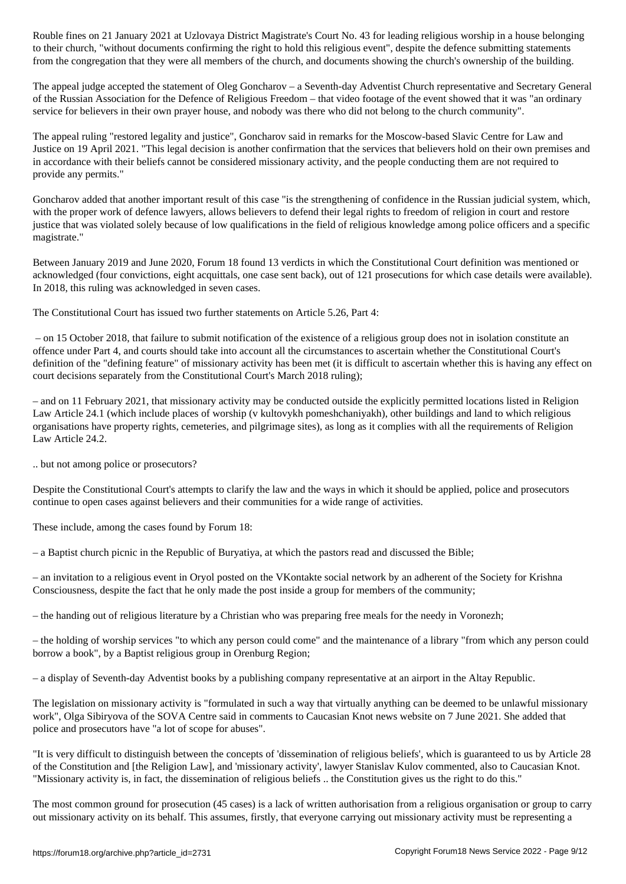to the right to the right to hold the right to hold this religious event  $\omega$  , define submitting statements the defence submitting statements of  $\omega$ from the congregation that they were all members of the church, and documents showing the church's ownership of the building.

The appeal judge accepted the statement of Oleg Goncharov – a Seventh-day Adventist Church representative and Secretary General of the Russian Association for the Defence of Religious Freedom – that video footage of the event showed that it was "an ordinary service for believers in their own prayer house, and nobody was there who did not belong to the church community".

The appeal ruling "restored legality and justice", Goncharov said in remarks for the Moscow-based Slavic Centre for Law and Justice on 19 April 2021. "This legal decision is another confirmation that the services that believers hold on their own premises and in accordance with their beliefs cannot be considered missionary activity, and the people conducting them are not required to provide any permits."

Goncharov added that another important result of this case "is the strengthening of confidence in the Russian judicial system, which, with the proper work of defence lawyers, allows believers to defend their legal rights to freedom of religion in court and restore justice that was violated solely because of low qualifications in the field of religious knowledge among police officers and a specific magistrate."

Between January 2019 and June 2020, Forum 18 found 13 verdicts in which the Constitutional Court definition was mentioned or acknowledged (four convictions, eight acquittals, one case sent back), out of 121 prosecutions for which case details were available). In 2018, this ruling was acknowledged in seven cases.

The Constitutional Court has issued two further statements on Article 5.26, Part 4:

 – on 15 October 2018, that failure to submit notification of the existence of a religious group does not in isolation constitute an offence under Part 4, and courts should take into account all the circumstances to ascertain whether the Constitutional Court's definition of the "defining feature" of missionary activity has been met (it is difficult to ascertain whether this is having any effect on court decisions separately from the Constitutional Court's March 2018 ruling);

– and on 11 February 2021, that missionary activity may be conducted outside the explicitly permitted locations listed in Religion Law Article 24.1 (which include places of worship (v kultovykh pomeshchaniyakh), other buildings and land to which religious organisations have property rights, cemeteries, and pilgrimage sites), as long as it complies with all the requirements of Religion Law Article 24.2.

.. but not among police or prosecutors?

Despite the Constitutional Court's attempts to clarify the law and the ways in which it should be applied, police and prosecutors continue to open cases against believers and their communities for a wide range of activities.

These include, among the cases found by Forum 18:

– a Baptist church picnic in the Republic of Buryatiya, at which the pastors read and discussed the Bible;

– an invitation to a religious event in Oryol posted on the VKontakte social network by an adherent of the Society for Krishna Consciousness, despite the fact that he only made the post inside a group for members of the community;

– the handing out of religious literature by a Christian who was preparing free meals for the needy in Voronezh;

– the holding of worship services "to which any person could come" and the maintenance of a library "from which any person could borrow a book", by a Baptist religious group in Orenburg Region;

– a display of Seventh-day Adventist books by a publishing company representative at an airport in the Altay Republic.

The legislation on missionary activity is "formulated in such a way that virtually anything can be deemed to be unlawful missionary work", Olga Sibiryova of the SOVA Centre said in comments to Caucasian Knot news website on 7 June 2021. She added that police and prosecutors have "a lot of scope for abuses".

"It is very difficult to distinguish between the concepts of 'dissemination of religious beliefs', which is guaranteed to us by Article 28 of the Constitution and [the Religion Law], and 'missionary activity', lawyer Stanislav Kulov commented, also to Caucasian Knot. "Missionary activity is, in fact, the dissemination of religious beliefs .. the Constitution gives us the right to do this."

The most common ground for prosecution (45 cases) is a lack of written authorisation from a religious organisation or group to carry out missionary activity on its behalf. This assumes, firstly, that everyone carrying out missionary activity must be representing a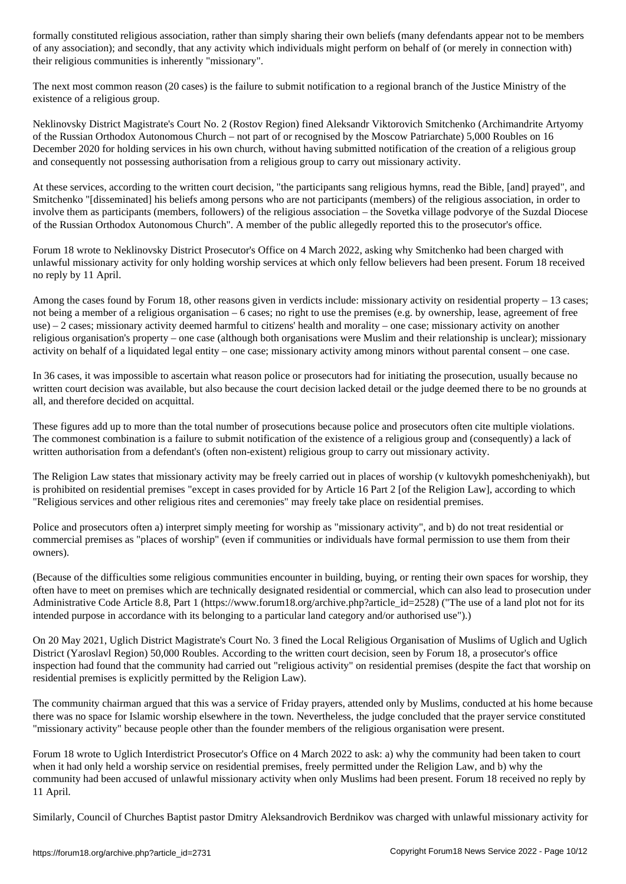of any association); and secondly, that any activity which individuals might perform on behalf of (or merely in connection with) their religious communities is inherently "missionary".

The next most common reason (20 cases) is the failure to submit notification to a regional branch of the Justice Ministry of the existence of a religious group.

Neklinovsky District Magistrate's Court No. 2 (Rostov Region) fined Aleksandr Viktorovich Smitchenko (Archimandrite Artyomy of the Russian Orthodox Autonomous Church – not part of or recognised by the Moscow Patriarchate) 5,000 Roubles on 16 December 2020 for holding services in his own church, without having submitted notification of the creation of a religious group and consequently not possessing authorisation from a religious group to carry out missionary activity.

At these services, according to the written court decision, "the participants sang religious hymns, read the Bible, [and] prayed", and Smitchenko "[disseminated] his beliefs among persons who are not participants (members) of the religious association, in order to involve them as participants (members, followers) of the religious association – the Sovetka village podvorye of the Suzdal Diocese of the Russian Orthodox Autonomous Church". A member of the public allegedly reported this to the prosecutor's office.

Forum 18 wrote to Neklinovsky District Prosecutor's Office on 4 March 2022, asking why Smitchenko had been charged with unlawful missionary activity for only holding worship services at which only fellow believers had been present. Forum 18 received no reply by 11 April.

Among the cases found by Forum 18, other reasons given in verdicts include: missionary activity on residential property – 13 cases; not being a member of a religious organisation – 6 cases; no right to use the premises (e.g. by ownership, lease, agreement of free use) – 2 cases; missionary activity deemed harmful to citizens' health and morality – one case; missionary activity on another religious organisation's property – one case (although both organisations were Muslim and their relationship is unclear); missionary activity on behalf of a liquidated legal entity – one case; missionary activity among minors without parental consent – one case.

In 36 cases, it was impossible to ascertain what reason police or prosecutors had for initiating the prosecution, usually because no written court decision was available, but also because the court decision lacked detail or the judge deemed there to be no grounds at all, and therefore decided on acquittal.

These figures add up to more than the total number of prosecutions because police and prosecutors often cite multiple violations. The commonest combination is a failure to submit notification of the existence of a religious group and (consequently) a lack of written authorisation from a defendant's (often non-existent) religious group to carry out missionary activity.

The Religion Law states that missionary activity may be freely carried out in places of worship (v kultovykh pomeshcheniyakh), but is prohibited on residential premises "except in cases provided for by Article 16 Part 2 [of the Religion Law], according to which "Religious services and other religious rites and ceremonies" may freely take place on residential premises.

Police and prosecutors often a) interpret simply meeting for worship as "missionary activity", and b) do not treat residential or commercial premises as "places of worship" (even if communities or individuals have formal permission to use them from their owners).

(Because of the difficulties some religious communities encounter in building, buying, or renting their own spaces for worship, they often have to meet on premises which are technically designated residential or commercial, which can also lead to prosecution under Administrative Code Article 8.8, Part 1 (https://www.forum18.org/archive.php?article\_id=2528) ("The use of a land plot not for its intended purpose in accordance with its belonging to a particular land category and/or authorised use").)

On 20 May 2021, Uglich District Magistrate's Court No. 3 fined the Local Religious Organisation of Muslims of Uglich and Uglich District (Yaroslavl Region) 50,000 Roubles. According to the written court decision, seen by Forum 18, a prosecutor's office inspection had found that the community had carried out "religious activity" on residential premises (despite the fact that worship on residential premises is explicitly permitted by the Religion Law).

The community chairman argued that this was a service of Friday prayers, attended only by Muslims, conducted at his home because there was no space for Islamic worship elsewhere in the town. Nevertheless, the judge concluded that the prayer service constituted "missionary activity" because people other than the founder members of the religious organisation were present.

Forum 18 wrote to Uglich Interdistrict Prosecutor's Office on 4 March 2022 to ask: a) why the community had been taken to court when it had only held a worship service on residential premises, freely permitted under the Religion Law, and b) why the community had been accused of unlawful missionary activity when only Muslims had been present. Forum 18 received no reply by 11 April.

Similarly, Council of Churches Baptist pastor Dmitry Aleksandrovich Berdnikov was charged with unlawful missionary activity for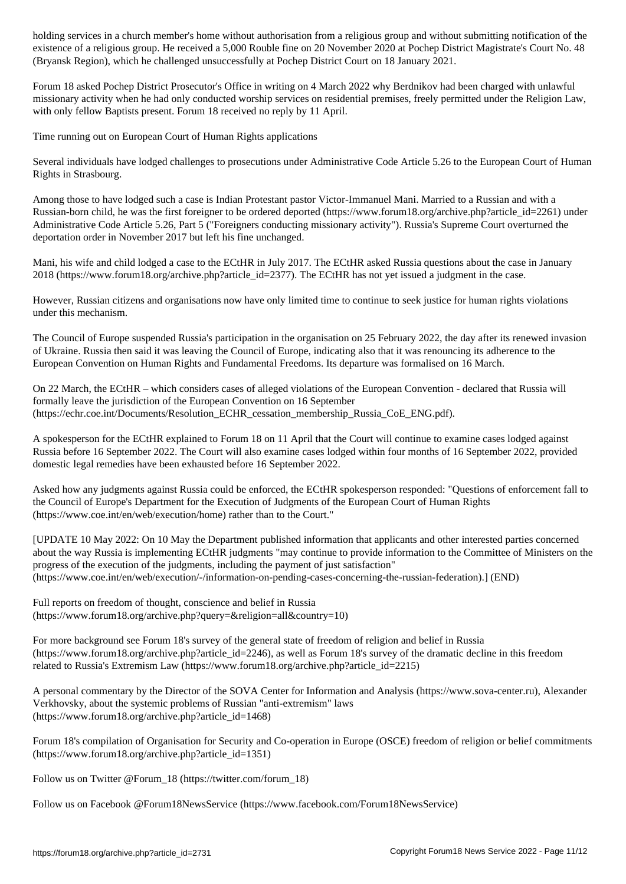existence of a religious group. He received a 5,000 Rouble fine on 20 November 2020 at Pochep District Magistrate's Court No. 48 (Bryansk Region), which he challenged unsuccessfully at Pochep District Court on 18 January 2021.

Forum 18 asked Pochep District Prosecutor's Office in writing on 4 March 2022 why Berdnikov had been charged with unlawful missionary activity when he had only conducted worship services on residential premises, freely permitted under the Religion Law, with only fellow Baptists present. Forum 18 received no reply by 11 April.

Time running out on European Court of Human Rights applications

Several individuals have lodged challenges to prosecutions under Administrative Code Article 5.26 to the European Court of Human Rights in Strasbourg.

Among those to have lodged such a case is Indian Protestant pastor Victor-Immanuel Mani. Married to a Russian and with a Russian-born child, he was the first foreigner to be ordered deported (https://www.forum18.org/archive.php?article\_id=2261) under Administrative Code Article 5.26, Part 5 ("Foreigners conducting missionary activity"). Russia's Supreme Court overturned the deportation order in November 2017 but left his fine unchanged.

Mani, his wife and child lodged a case to the ECtHR in July 2017. The ECtHR asked Russia questions about the case in January 2018 (https://www.forum18.org/archive.php?article\_id=2377). The ECtHR has not yet issued a judgment in the case.

However, Russian citizens and organisations now have only limited time to continue to seek justice for human rights violations under this mechanism.

The Council of Europe suspended Russia's participation in the organisation on 25 February 2022, the day after its renewed invasion of Ukraine. Russia then said it was leaving the Council of Europe, indicating also that it was renouncing its adherence to the European Convention on Human Rights and Fundamental Freedoms. Its departure was formalised on 16 March.

On 22 March, the ECtHR – which considers cases of alleged violations of the European Convention - declared that Russia will formally leave the jurisdiction of the European Convention on 16 September (https://echr.coe.int/Documents/Resolution\_ECHR\_cessation\_membership\_Russia\_CoE\_ENG.pdf).

A spokesperson for the ECtHR explained to Forum 18 on 11 April that the Court will continue to examine cases lodged against Russia before 16 September 2022. The Court will also examine cases lodged within four months of 16 September 2022, provided domestic legal remedies have been exhausted before 16 September 2022.

Asked how any judgments against Russia could be enforced, the ECtHR spokesperson responded: "Questions of enforcement fall to the Council of Europe's Department for the Execution of Judgments of the European Court of Human Rights (https://www.coe.int/en/web/execution/home) rather than to the Court."

[UPDATE 10 May 2022: On 10 May the Department published information that applicants and other interested parties concerned about the way Russia is implementing ECtHR judgments "may continue to provide information to the Committee of Ministers on the progress of the execution of the judgments, including the payment of just satisfaction" (https://www.coe.int/en/web/execution/-/information-on-pending-cases-concerning-the-russian-federation).] (END)

Full reports on freedom of thought, conscience and belief in Russia (https://www.forum18.org/archive.php?query=&religion=all&country=10)

For more background see Forum 18's survey of the general state of freedom of religion and belief in Russia (https://www.forum18.org/archive.php?article\_id=2246), as well as Forum 18's survey of the dramatic decline in this freedom related to Russia's Extremism Law (https://www.forum18.org/archive.php?article\_id=2215)

A personal commentary by the Director of the SOVA Center for Information and Analysis (https://www.sova-center.ru), Alexander Verkhovsky, about the systemic problems of Russian "anti-extremism" laws (https://www.forum18.org/archive.php?article\_id=1468)

Forum 18's compilation of Organisation for Security and Co-operation in Europe (OSCE) freedom of religion or belief commitments (https://www.forum18.org/archive.php?article\_id=1351)

Follow us on Twitter @Forum\_18 (https://twitter.com/forum\_18)

Follow us on Facebook @Forum18NewsService (https://www.facebook.com/Forum18NewsService)